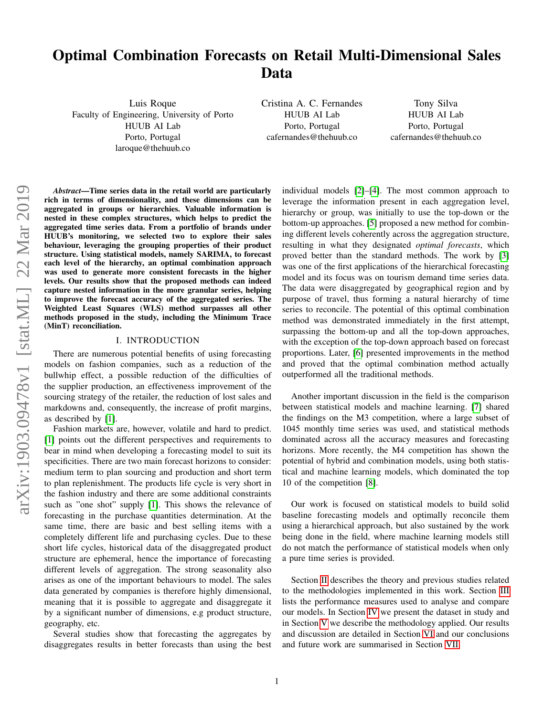# Optimal Combination Forecasts on Retail Multi-Dimensional Sales Data

Luis Roque Faculty of Engineering, University of Porto HUUB AI Lab Porto, Portugal laroque@thehuub.co

Cristina A. C. Fernandes HUUB AI Lab Porto, Portugal cafernandes@thehuub.co

Tony Silva HUUB AI Lab Porto, Portugal cafernandes@thehuub.co

*Abstract*—Time series data in the retail world are particularly rich in terms of dimensionality, and these dimensions can be aggregated in groups or hierarchies. Valuable information is nested in these complex structures, which helps to predict the aggregated time series data. From a portfolio of brands under HUUB's monitoring, we selected two to explore their sales behaviour, leveraging the grouping properties of their product structure. Using statistical models, namely SARIMA, to forecast each level of the hierarchy, an optimal combination approach was used to generate more consistent forecasts in the higher levels. Our results show that the proposed methods can indeed capture nested information in the more granular series, helping to improve the forecast accuracy of the aggregated series. The Weighted Least Squares (WLS) method surpasses all other methods proposed in the study, including the Minimum Trace (MinT) reconciliation.

## I. INTRODUCTION

There are numerous potential benefits of using forecasting models on fashion companies, such as a reduction of the bullwhip effect, a possible reduction of the difficulties of the supplier production, an effectiveness improvement of the sourcing strategy of the retailer, the reduction of lost sales and markdowns and, consequently, the increase of profit margins, as described by [\[1\]](#page-7-0).

Fashion markets are, however, volatile and hard to predict. [\[1\]](#page-7-0) points out the different perspectives and requirements to bear in mind when developing a forecasting model to suit its specificities. There are two main forecast horizons to consider: medium term to plan sourcing and production and short term to plan replenishment. The products life cycle is very short in the fashion industry and there are some additional constraints such as "one shot" supply [\[1\]](#page-7-0). This shows the relevance of forecasting in the purchase quantities determination. At the same time, there are basic and best selling items with a completely different life and purchasing cycles. Due to these short life cycles, historical data of the disaggregated product structure are ephemeral, hence the importance of forecasting different levels of aggregation. The strong seasonality also arises as one of the important behaviours to model. The sales data generated by companies is therefore highly dimensional, meaning that it is possible to aggregate and disaggregate it by a significant number of dimensions, e.g product structure, geography, etc.

Several studies show that forecasting the aggregates by disaggregates results in better forecasts than using the best individual models [\[2\]](#page-7-1)–[\[4\]](#page-7-2). The most common approach to leverage the information present in each aggregation level, hierarchy or group, was initially to use the top-down or the bottom-up approaches. [\[5\]](#page-7-3) proposed a new method for combining different levels coherently across the aggregation structure, resulting in what they designated *optimal forecasts*, which proved better than the standard methods. The work by [\[3\]](#page-7-4) was one of the first applications of the hierarchical forecasting model and its focus was on tourism demand time series data. The data were disaggregated by geographical region and by purpose of travel, thus forming a natural hierarchy of time series to reconcile. The potential of this optimal combination method was demonstrated immediately in the first attempt, surpassing the bottom-up and all the top-down approaches, with the exception of the top-down approach based on forecast proportions. Later, [\[6\]](#page-7-5) presented improvements in the method and proved that the optimal combination method actually outperformed all the traditional methods.

Another important discussion in the field is the comparison between statistical models and machine learning. [\[7\]](#page-7-6) shared the findings on the M3 competition, where a large subset of 1045 monthly time series was used, and statistical methods dominated across all the accuracy measures and forecasting horizons. More recently, the M4 competition has shown the potential of hybrid and combination models, using both statistical and machine learning models, which dominated the top 10 of the competition [\[8\]](#page-7-7).

Our work is focused on statistical models to build solid baseline forecasting models and optimally reconcile them using a hierarchical approach, but also sustained by the work being done in the field, where machine learning models still do not match the performance of statistical models when only a pure time series is provided.

Section [II](#page-1-0) describes the theory and previous studies related to the methodologies implemented in this work. Section [III](#page-3-0) lists the performance measures used to analyse and compare our models. In Section [IV](#page-3-1) we present the dataset in study and in Section [V](#page-3-2) we describe the methodology applied. Our results and discussion are detailed in Section [VI](#page-4-0) and our conclusions and future work are summarised in Section [VII.](#page-7-8)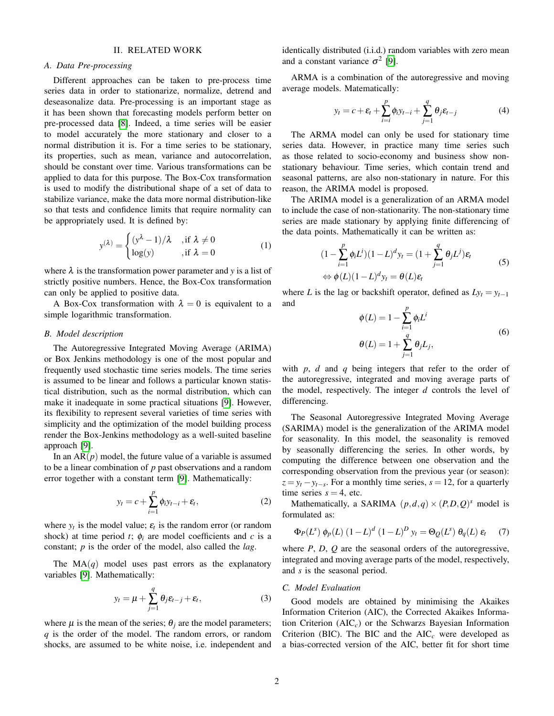### II. RELATED WORK

#### <span id="page-1-0"></span>*A. Data Pre-processing*

Different approaches can be taken to pre-process time series data in order to stationarize, normalize, detrend and deseasonalize data. Pre-processing is an important stage as it has been shown that forecasting models perform better on pre-processed data [\[8\]](#page-7-7). Indeed, a time series will be easier to model accurately the more stationary and closer to a normal distribution it is. For a time series to be stationary, its properties, such as mean, variance and autocorrelation, should be constant over time. Various transformations can be applied to data for this purpose. The Box-Cox transformation is used to modify the distributional shape of a set of data to stabilize variance, make the data more normal distribution-like so that tests and confidence limits that require normality can be appropriately used. It is defined by:

$$
y^{(\lambda)} = \begin{cases} (y^{\lambda} - 1)/\lambda & \text{, if } \lambda \neq 0 \\ \log(y) & \text{, if } \lambda = 0 \end{cases}
$$
 (1)

where  $\lambda$  is the transformation power parameter and *y* is a list of strictly positive numbers. Hence, the Box-Cox transformation can only be applied to positive data.

A Box-Cox transformation with  $\lambda = 0$  is equivalent to a simple logarithmic transformation.

#### *B. Model description*

The Autoregressive Integrated Moving Average (ARIMA) or Box Jenkins methodology is one of the most popular and frequently used stochastic time series models. The time series is assumed to be linear and follows a particular known statistical distribution, such as the normal distribution, which can make it inadequate in some practical situations [\[9\]](#page-7-9). However, its flexibility to represent several varieties of time series with simplicity and the optimization of the model building process render the Box-Jenkins methodology as a well-suited baseline approach [\[9\]](#page-7-9).

In an  $AR(p)$  model, the future value of a variable is assumed to be a linear combination of *p* past observations and a random error together with a constant term [\[9\]](#page-7-9). Mathematically:

$$
y_t = c + \sum_{i=1}^p \phi_i y_{t-i} + \varepsilon_t, \qquad (2)
$$

where  $y_t$  is the model value;  $\varepsilon_t$  is the random error (or random shock) at time period  $t$ ;  $\phi_i$  are model coefficients and  $c$  is a constant; *p* is the order of the model, also called the *lag*.

The  $MA(q)$  model uses past errors as the explanatory variables [\[9\]](#page-7-9). Mathematically:

$$
y_t = \mu + \sum_{j=1}^q \theta_j \varepsilon_{t-j} + \varepsilon_t, \tag{3}
$$

where  $\mu$  is the mean of the series;  $\theta_i$  are the model parameters; *q* is the order of the model. The random errors, or random shocks, are assumed to be white noise, i.e. independent and identically distributed (i.i.d.) random variables with zero mean and a constant variance  $\sigma^2$  [\[9\]](#page-7-9).

ARMA is a combination of the autoregressive and moving average models. Matematically:

$$
y_t = c + \varepsilon_t + \sum_{i=i}^p \phi_i y_{t-i} + \sum_{j=1}^q \theta_j \varepsilon_{t-j}
$$
 (4)

The ARMA model can only be used for stationary time series data. However, in practice many time series such as those related to socio-economy and business show nonstationary behaviour. Time series, which contain trend and seasonal patterns, are also non-stationary in nature. For this reason, the ARIMA model is proposed.

The ARIMA model is a generalization of an ARMA model to include the case of non-stationarity. The non-stationary time series are made stationary by applying finite differencing of the data points. Mathematically it can be written as:

$$
(1 - \sum_{i=1}^{p} \phi_i L^i)(1 - L)^d y_t = (1 + \sum_{j=1}^{q} \theta_j L^j) \varepsilon_t
$$
  
\n
$$
\Leftrightarrow \phi(L)(1 - L)^d y_t = \theta(L) \varepsilon_t
$$
\n(5)

where *L* is the lag or backshift operator, defined as  $Ly_t = y_{t-1}$ and

$$
\phi(L) = 1 - \sum_{i=1}^{p} \phi_i L^i
$$
  
\n
$$
\theta(L) = 1 + \sum_{j=1}^{q} \theta_j L_j,
$$
\n(6)

with *p*, *d* and *q* being integers that refer to the order of the autoregressive, integrated and moving average parts of the model, respectively. The integer *d* controls the level of differencing.

The Seasonal Autoregressive Integrated Moving Average (SARIMA) model is the generalization of the ARIMA model for seasonality. In this model, the seasonality is removed by seasonally differencing the series. In other words, by computing the difference between one observation and the corresponding observation from the previous year (or season):  $z = y_t - y_{t-s}$ . For a monthly time series,  $s = 12$ , for a quarterly time series  $s = 4$ , etc.

Mathematically, a SARIMA  $(p,d,q) \times (P,D,Q)^s$  model is formulated as:

<span id="page-1-1"></span>
$$
\Phi_P(L^s) \phi_P(L) (1 - L)^d (1 - L)^D y_t = \Theta_Q(L^s) \theta_q(L) \varepsilon_t \tag{7}
$$

where *P*, *D*, *Q* are the seasonal orders of the autoregressive, integrated and moving average parts of the model, respectively, and *s* is the seasonal period.

## *C. Model Evaluation*

Good models are obtained by minimising the Akaikes Information Criterion (AIC), the Corrected Akaikes Information Criterion (AIC*c*) or the Schwarzs Bayesian Information Criterion (BIC). The BIC and the  $AIC<sub>c</sub>$  were developed as a bias-corrected version of the AIC, better fit for short time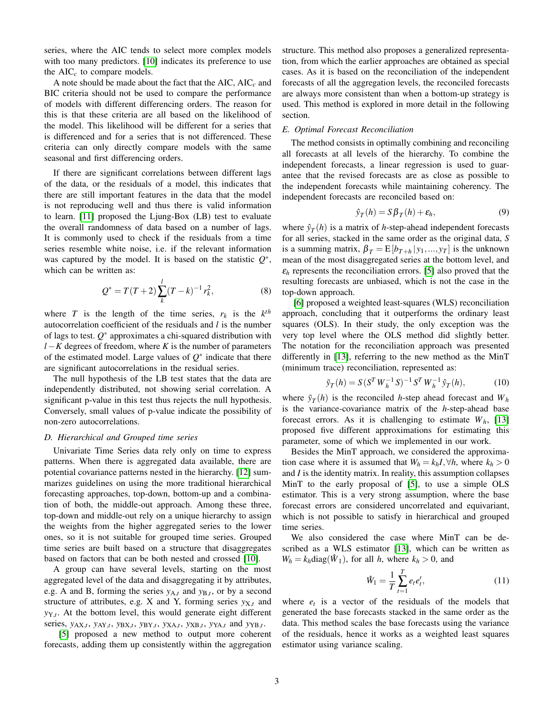series, where the AIC tends to select more complex models with too many predictors. [\[10\]](#page-7-10) indicates its preference to use the  $AIC<sub>c</sub>$  to compare models.

A note should be made about the fact that the AIC, AIC*<sup>c</sup>* and BIC criteria should not be used to compare the performance of models with different differencing orders. The reason for this is that these criteria are all based on the likelihood of the model. This likelihood will be different for a series that is differenced and for a series that is not differenced. These criteria can only directly compare models with the same seasonal and first differencing orders.

If there are significant correlations between different lags of the data, or the residuals of a model, this indicates that there are still important features in the data that the model is not reproducing well and thus there is valid information to learn. [\[11\]](#page-7-11) proposed the Ljung-Box (LB) test to evaluate the overall randomness of data based on a number of lags. It is commonly used to check if the residuals from a time series resemble white noise, i.e. if the relevant information was captured by the model. It is based on the statistic *Q* ∗ , which can be written as:

$$
Q^* = T(T+2) \sum_{k}^{l} (T-k)^{-1} r_k^2,
$$
\n(8)

where *T* is the length of the time series,  $r_k$  is the  $k^{th}$ autocorrelation coefficient of the residuals and *l* is the number of lags to test.  $Q^*$  approximates a chi-squared distribution with *l* − *K* degrees of freedom, where *K* is the number of parameters of the estimated model. Large values of  $Q^*$  indicate that there are significant autocorrelations in the residual series.

The null hypothesis of the LB test states that the data are independently distributed, not showing serial correlation. A significant p-value in this test thus rejects the null hypothesis. Conversely, small values of p-value indicate the possibility of non-zero autocorrelations.

#### *D. Hierarchical and Grouped time series*

Univariate Time Series data rely only on time to express patterns. When there is aggregated data available, there are potential covariance patterns nested in the hierarchy. [\[12\]](#page-7-12) summarizes guidelines on using the more traditional hierarchical forecasting approaches, top-down, bottom-up and a combination of both, the middle-out approach. Among these three, top-down and middle-out rely on a unique hierarchy to assign the weights from the higher aggregated series to the lower ones, so it is not suitable for grouped time series. Grouped time series are built based on a structure that disaggregates based on factors that can be both nested and crossed [\[10\]](#page-7-10).

A group can have several levels, starting on the most aggregated level of the data and disaggregating it by attributes, e.g. A and B, forming the series  $y_{A,t}$  and  $y_{B,t}$ , or by a second structure of attributes, e.g. X and Y, forming series  $y_{X,t}$  and *y*Y,*<sup>t</sup>* . At the bottom level, this would generate eight different series,  $y_{AX,t}$ ,  $y_{AY,t}$ ,  $y_{BX,t}$ ,  $y_{BY,t}$ ,  $y_{XA,t}$ ,  $y_{XB,t}$ ,  $y_{YA,t}$  and  $y_{YB,t}$ .

[\[5\]](#page-7-3) proposed a new method to output more coherent forecasts, adding them up consistently within the aggregation

structure. This method also proposes a generalized representation, from which the earlier approaches are obtained as special cases. As it is based on the reconciliation of the independent forecasts of all the aggregation levels, the reconciled forecasts are always more consistent than when a bottom-up strategy is used. This method is explored in more detail in the following section.

#### *E. Optimal Forecast Reconciliation*

The method consists in optimally combining and reconciling all forecasts at all levels of the hierarchy. To combine the independent forecasts, a linear regression is used to guarantee that the revised forecasts are as close as possible to the independent forecasts while maintaining coherency. The independent forecasts are reconciled based on:

$$
\hat{y}_T(h) = S\beta_T(h) + \varepsilon_h,\tag{9}
$$

where  $\hat{y}_T(h)$  is a matrix of *h*-step-ahead independent forecasts for all series, stacked in the same order as the original data, *S* is a summing matrix,  $\beta_T = E[b_{T+h} | y_1, ..., y_T]$  is the unknown mean of the most disaggregated series at the bottom level, and  $\varepsilon_h$  represents the reconciliation errors. [\[5\]](#page-7-3) also proved that the resulting forecasts are unbiased, which is not the case in the top-down approach.

[\[6\]](#page-7-5) proposed a weighted least-squares (WLS) reconciliation approach, concluding that it outperforms the ordinary least squares (OLS). In their study, the only exception was the very top level where the OLS method did slightly better. The notation for the reconciliation approach was presented differently in [\[13\]](#page-7-13), referring to the new method as the MinT (minimum trace) reconciliation, represented as:

$$
\tilde{y}_T(h) = S(S^T W_h^{-1} S)^{-1} S^T W_h^{-1} \hat{y}_T(h), \tag{10}
$$

where  $\tilde{y}_T(h)$  is the reconciled *h*-step ahead forecast and  $W_h$ is the variance-covariance matrix of the *h*-step-ahead base forecast errors. As it is challenging to estimate  $W_h$ , [\[13\]](#page-7-13) proposed five different approximations for estimating this parameter, some of which we implemented in our work.

Besides the MinT approach, we considered the approximation case where it is assumed that  $W_h = k_h I, \forall h$ , where  $k_h > 0$ and *I* is the identity matrix. In reality, this assumption collapses MinT to the early proposal of [\[5\]](#page-7-3), to use a simple OLS estimator. This is a very strong assumption, where the base forecast errors are considered uncorrelated and equivariant, which is not possible to satisfy in hierarchical and grouped time series.

We also considered the case where MinT can be described as a WLS estimator [\[13\]](#page-7-13), which can be written as  $W_h = k_h \text{diag}(\hat{W}_1)$ , for all *h*, where  $k_h > 0$ , and

$$
\hat{W}_1 = \frac{1}{T} \sum_{t=1}^{T} e_t e'_t,
$$
\n(11)

where  $e_t$  is a vector of the residuals of the models that generated the base forecasts stacked in the same order as the data. This method scales the base forecasts using the variance of the residuals, hence it works as a weighted least squares estimator using variance scaling.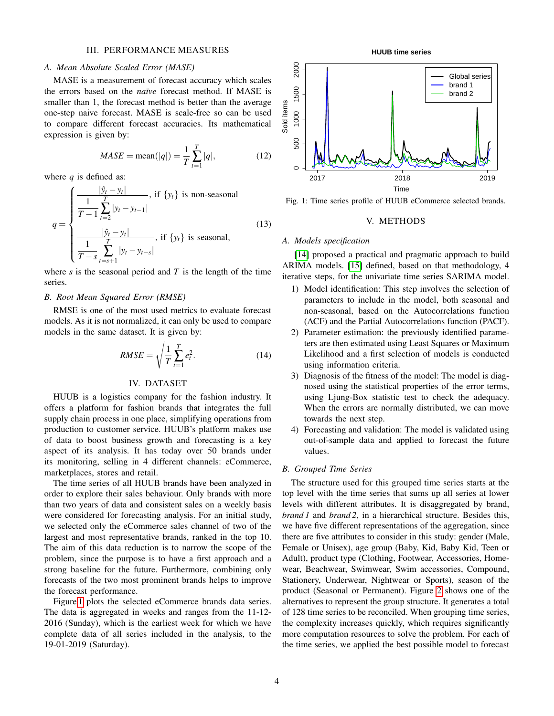## III. PERFORMANCE MEASURES

#### <span id="page-3-0"></span>*A. Mean Absolute Scaled Error (MASE)*

MASE is a measurement of forecast accuracy which scales the errors based on the *naïve* forecast method. If MASE is smaller than 1, the forecast method is better than the average one-step naive forecast. MASE is scale-free so can be used to compare different forecast accuracies. Its mathematical expression is given by:

$$
MASE = \text{mean}(|q|) = \frac{1}{T} \sum_{t=1}^{T} |q|,
$$
 (12)

where *q* is defined as:

$$
q = \begin{cases} \frac{|\hat{y}_t - y_t|}{T - 1} & \text{if } \{y_t\} \text{ is non-seasonal} \\ \frac{1}{T - 1} \sum_{t=2}^T |y_t - y_{t-1}| \\ \frac{|\hat{y}_t - y_t|}{T - s} & \text{if } \{y_t\} \text{ is seasonal,} \\ \frac{1}{T - s} \sum_{t=s+1}^T |y_t - y_{t-s}| \end{cases}
$$
(13)

where *s* is the seasonal period and *T* is the length of the time series.

## *B. Root Mean Squared Error (RMSE)*

RMSE is one of the most used metrics to evaluate forecast models. As it is not normalized, it can only be used to compare models in the same dataset. It is given by:

$$
RMSE = \sqrt{\frac{1}{T} \sum_{t=1}^{T} e_t^2}.
$$
 (14)

#### IV. DATASET

<span id="page-3-1"></span>HUUB is a logistics company for the fashion industry. It offers a platform for fashion brands that integrates the full supply chain process in one place, simplifying operations from production to customer service. HUUB's platform makes use of data to boost business growth and forecasting is a key aspect of its analysis. It has today over 50 brands under its monitoring, selling in 4 different channels: eCommerce, marketplaces, stores and retail.

The time series of all HUUB brands have been analyzed in order to explore their sales behaviour. Only brands with more than two years of data and consistent sales on a weekly basis were considered for forecasting analysis. For an initial study, we selected only the eCommerce sales channel of two of the largest and most representative brands, ranked in the top 10. The aim of this data reduction is to narrow the scope of the problem, since the purpose is to have a first approach and a strong baseline for the future. Furthermore, combining only forecasts of the two most prominent brands helps to improve the forecast performance.

Figure [1](#page-3-3) plots the selected eCommerce brands data series. The data is aggregated in weeks and ranges from the 11-12- 2016 (Sunday), which is the earliest week for which we have complete data of all series included in the analysis, to the 19-01-2019 (Saturday).

**HUUB time series**

<span id="page-3-3"></span>

<span id="page-3-2"></span>Fig. 1: Time series profile of HUUB eCommerce selected brands.

#### V. METHODS

#### *A. Models specification*

[\[14\]](#page-7-14) proposed a practical and pragmatic approach to build ARIMA models. [\[15\]](#page-7-15) defined, based on that methodology, 4 iterative steps, for the univariate time series SARIMA model.

- 1) Model identification: This step involves the selection of parameters to include in the model, both seasonal and non-seasonal, based on the Autocorrelations function (ACF) and the Partial Autocorrelations function (PACF).
- 2) Parameter estimation: the previously identified parameters are then estimated using Least Squares or Maximum Likelihood and a first selection of models is conducted using information criteria.
- 3) Diagnosis of the fitness of the model: The model is diagnosed using the statistical properties of the error terms, using Ljung-Box statistic test to check the adequacy. When the errors are normally distributed, we can move towards the next step.
- 4) Forecasting and validation: The model is validated using out-of-sample data and applied to forecast the future values.

#### *B. Grouped Time Series*

The structure used for this grouped time series starts at the top level with the time series that sums up all series at lower levels with different attributes. It is disaggregated by brand, *brand 1* and *brand 2*, in a hierarchical structure. Besides this, we have five different representations of the aggregation, since there are five attributes to consider in this study: gender (Male, Female or Unisex), age group (Baby, Kid, Baby Kid, Teen or Adult), product type (Clothing, Footwear, Accessories, Homewear, Beachwear, Swimwear, Swim accessories, Compound, Stationery, Underwear, Nightwear or Sports), season of the product (Seasonal or Permanent). Figure [2](#page-4-1) shows one of the alternatives to represent the group structure. It generates a total of 128 time series to be reconciled. When grouping time series, the complexity increases quickly, which requires significantly more computation resources to solve the problem. For each of the time series, we applied the best possible model to forecast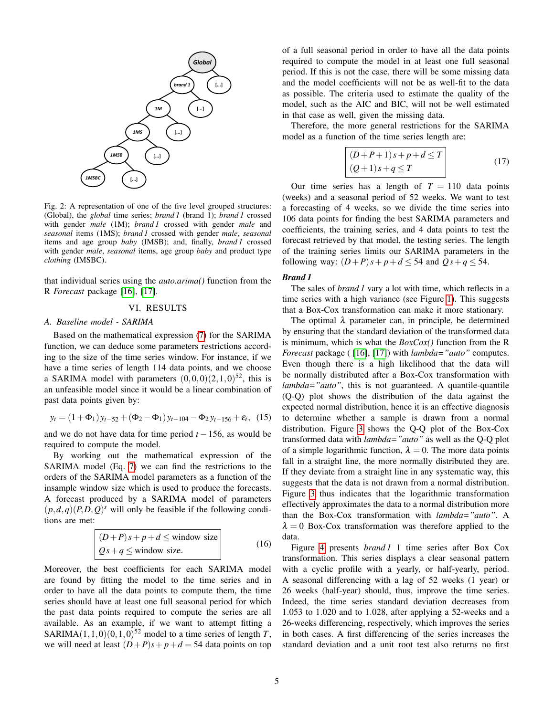<span id="page-4-1"></span>

Fig. 2: A representation of one of the five level grouped structures: (Global), the *global* time series; *brand 1* (brand 1); *brand 1* crossed with gender *male* (1M); *brand 1* crossed with gender *male* and *seasonal* items (1MS); *brand 1* crossed with gender *male*, *seasonal* items and age group *baby* (IMSB); and, finally, *brand 1* crossed with gender *male*, *seasonal* items, age group *baby* and product type *clothing* (IMSBC).

that individual series using the *auto.arima()* function from the R *Forecast* package [\[16\]](#page-7-16), [\[17\]](#page-7-17).

## VI. RESULTS

#### <span id="page-4-0"></span>*A. Baseline model - SARIMA*

Based on the mathematical expression [\(7\)](#page-1-1) for the SARIMA function, we can deduce some parameters restrictions according to the size of the time series window. For instance, if we have a time series of length 114 data points, and we choose a SARIMA model with parameters  $(0,0,0)(2,1,0)^{52}$ , this is an unfeasible model since it would be a linear combination of past data points given by:

$$
y_t = (1 + \Phi_1) y_{t-52} + (\Phi_2 - \Phi_1) y_{t-104} - \Phi_2 y_{t-156} + \varepsilon_t, (15)
$$

and we do not have data for time period  $t - 156$ , as would be required to compute the model.

By working out the mathematical expression of the SARIMA model (Eq. [7\)](#page-1-1) we can find the restrictions to the orders of the SARIMA model parameters as a function of the insample window size which is used to produce the forecasts. A forecast produced by a SARIMA model of parameters  $(p,d,q)(P,D,Q)^s$  will only be feasible if the following conditions are met:

$$
\begin{vmatrix}\n(D+P)s + p + d \le \text{window size} \\
Qs + q \le \text{window size.} \n\end{vmatrix}
$$
\n(16)

Moreover, the best coefficients for each SARIMA model are found by fitting the model to the time series and in order to have all the data points to compute them, the time series should have at least one full seasonal period for which the past data points required to compute the series are all available. As an example, if we want to attempt fitting a SARIMA $(1,1,0)(0,1,0)^{52}$  model to a time series of length *T*, we will need at least  $(D+P)s + p + d = 54$  data points on top of a full seasonal period in order to have all the data points required to compute the model in at least one full seasonal period. If this is not the case, there will be some missing data and the model coefficients will not be as well-fit to the data as possible. The criteria used to estimate the quality of the model, such as the AIC and BIC, will not be well estimated in that case as well, given the missing data.

Therefore, the more general restrictions for the SARIMA model as a function of the time series length are:

<span id="page-4-2"></span>
$$
\begin{vmatrix} (D+P+1)s+p+d \le T \\ (Q+1)s+q \le T \end{vmatrix}
$$
 (17)

Our time series has a length of  $T = 110$  data points (weeks) and a seasonal period of 52 weeks. We want to test a forecasting of 4 weeks, so we divide the time series into 106 data points for finding the best SARIMA parameters and coefficients, the training series, and 4 data points to test the forecast retrieved by that model, the testing series. The length of the training series limits our SARIMA parameters in the following way:  $(D+P)s + p + d \leq 54$  and  $Qs + q \leq 54$ .

#### *Brand 1*

The sales of *brand 1* vary a lot with time, which reflects in a time series with a high variance (see Figure [1\)](#page-3-3). This suggests that a Box-Cox transformation can make it more stationary.

The optimal  $\lambda$  parameter can, in principle, be determined by ensuring that the standard deviation of the transformed data is minimum, which is what the *BoxCox()* function from the R *Forecast* package ( [\[16\]](#page-7-16), [\[17\]](#page-7-17)) with *lambda="auto"* computes. Even though there is a high likelihood that the data will be normally distributed after a Box-Cox transformation with *lambda="auto"*, this is not guaranteed. A quantile-quantile (Q-Q) plot shows the distribution of the data against the expected normal distribution, hence it is an effective diagnosis to determine whether a sample is drawn from a normal distribution. Figure [3](#page-5-0) shows the Q-Q plot of the Box-Cox transformed data with *lambda="auto"* as well as the Q-Q plot of a simple logarithmic function,  $\lambda = 0$ . The more data points fall in a straight line, the more normally distributed they are. If they deviate from a straight line in any systematic way, this suggests that the data is not drawn from a normal distribution. Figure [3](#page-5-0) thus indicates that the logarithmic transformation effectively approximates the data to a normal distribution more than the Box-Cox transformation with *lambda="auto"*. A  $\lambda = 0$  Box-Cox transformation was therefore applied to the data.

Figure [4](#page-5-1) presents *brand 1* 1 time series after Box Cox transformation. This series displays a clear seasonal pattern with a cyclic profile with a yearly, or half-yearly, period. A seasonal differencing with a lag of 52 weeks (1 year) or 26 weeks (half-year) should, thus, improve the time series. Indeed, the time series standard deviation decreases from 1.053 to 1.020 and to 1.028, after applying a 52-weeks and a 26-weeks differencing, respectively, which improves the series in both cases. A first differencing of the series increases the standard deviation and a unit root test also returns no first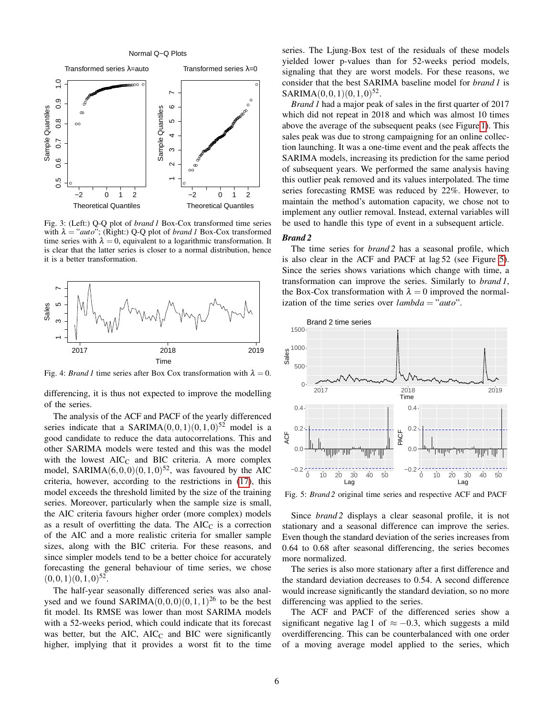Normal Q−Q Plots

<span id="page-5-0"></span>

Fig. 3: (Left:) Q-Q plot of *brand 1* Box-Cox transformed time series with λ = "*auto*"; (Right:) Q-Q plot of *brand 1* Box-Cox transformed time series with  $\lambda = 0$ , equivalent to a logarithmic transformation. It is clear that the latter series is closer to a normal distribution, hence it is a better transformation.

<span id="page-5-1"></span>

Fig. 4: *Brand 1* time series after Box Cox transformation with  $\lambda = 0$ .

differencing, it is thus not expected to improve the modelling of the series.

The analysis of the ACF and PACF of the yearly differenced series indicate that a SARIMA $(0,0,1)(0,1,0)^{52}$  model is a good candidate to reduce the data autocorrelations. This and other SARIMA models were tested and this was the model with the lowest  $AIC_C$  and BIC criteria. A more complex model, SARIMA $(6,0,0)(0,1,0)^{52}$ , was favoured by the AIC criteria, however, according to the restrictions in [\(17\)](#page-4-2), this model exceeds the threshold limited by the size of the training series. Moreover, particularly when the sample size is small, the AIC criteria favours higher order (more complex) models as a result of overfitting the data. The  $AIC_C$  is a correction of the AIC and a more realistic criteria for smaller sample sizes, along with the BIC criteria. For these reasons, and since simpler models tend to be a better choice for accurately forecasting the general behaviour of time series, we chose  $(0,0,1)(0,1,0)^{52}$ .

The half-year seasonally differenced series was also analysed and we found  $SARIMA(0,0,0)(0,1,1)^{26}$  to be the best fit model. Its RMSE was lower than most SARIMA models with a 52-weeks period, which could indicate that its forecast was better, but the AIC,  $AIC_C$  and BIC were significantly higher, implying that it provides a worst fit to the time series. The Ljung-Box test of the residuals of these models yielded lower p-values than for 52-weeks period models, signaling that they are worst models. For these reasons, we consider that the best SARIMA baseline model for *brand 1* is  $SARIMA(0,0,1)(0,1,0)^{52}$ .

*Brand 1* had a major peak of sales in the first quarter of 2017 which did not repeat in 2018 and which was almost 10 times above the average of the subsequent peaks (see Figure [1\)](#page-3-3). This sales peak was due to strong campaigning for an online collection launching. It was a one-time event and the peak affects the SARIMA models, increasing its prediction for the same period of subsequent years. We performed the same analysis having this outlier peak removed and its values interpolated. The time series forecasting RMSE was reduced by 22%. However, to maintain the method's automation capacity, we chose not to implement any outlier removal. Instead, external variables will be used to handle this type of event in a subsequent article.

#### *Brand 2*

The time series for *brand 2* has a seasonal profile, which is also clear in the ACF and PACF at lag 52 (see Figure [5\)](#page-5-2). Since the series shows variations which change with time, a transformation can improve the series. Similarly to *brand 1*, the Box-Cox transformation with  $\lambda = 0$  improved the normalization of the time series over *lambda* = "*auto*".

<span id="page-5-2"></span>

Fig. 5: *Brand 2* original time series and respective ACF and PACF

Since *brand 2* displays a clear seasonal profile, it is not stationary and a seasonal difference can improve the series. Even though the standard deviation of the series increases from 0.64 to 0.68 after seasonal differencing, the series becomes more normalized.

The series is also more stationary after a first difference and the standard deviation decreases to 0.54. A second difference would increase significantly the standard deviation, so no more differencing was applied to the series.

The ACF and PACF of the differenced series show a significant negative lag 1 of  $\approx -0.3$ , which suggests a mild overdifferencing. This can be counterbalanced with one order of a moving average model applied to the series, which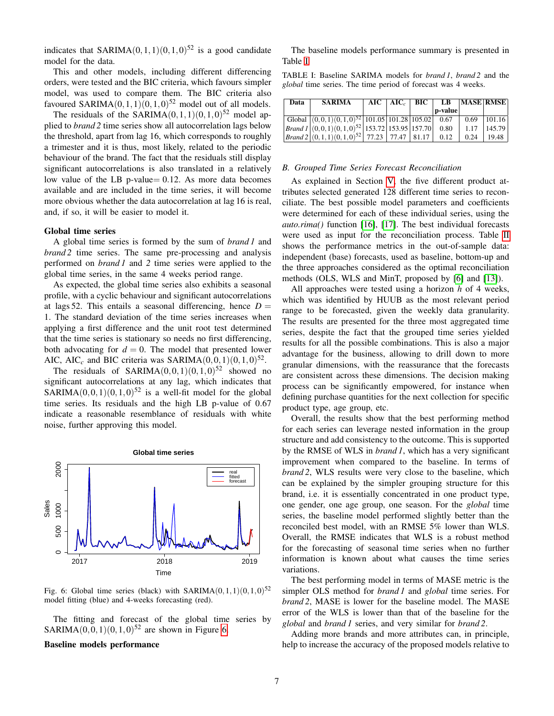indicates that SARIMA $(0,1,1)(0,1,0)^{52}$  is a good candidate model for the data.

This and other models, including different differencing orders, were tested and the BIC criteria, which favours simpler model, was used to compare them. The BIC criteria also favoured SARIMA $(0,1,1)(0,1,0)^{52}$  model out of all models.

The residuals of the SARIMA $(0,1,1)(0,1,0)^{52}$  model applied to *brand 2* time series show all autocorrelation lags below the threshold, apart from lag 16, which corresponds to roughly a trimester and it is thus, most likely, related to the periodic behaviour of the brand. The fact that the residuals still display significant autocorrelations is also translated in a relatively low value of the LB p-value= 0.12. As more data becomes available and are included in the time series, it will become more obvious whether the data autocorrelation at lag 16 is real, and, if so, it will be easier to model it.

#### Global time series

A global time series is formed by the sum of *brand 1* and *brand 2* time series. The same pre-processing and analysis performed on *brand 1* and *2* time series were applied to the global time series, in the same 4 weeks period range.

As expected, the global time series also exhibits a seasonal profile, with a cyclic behaviour and significant autocorrelations at lags 52. This entails a seasonal differencing, hence  $D =$ 1. The standard deviation of the time series increases when applying a first difference and the unit root test determined that the time series is stationary so needs no first differencing, both advocating for  $d = 0$ . The model that presented lower AIC, AIC<sub>c</sub> and BIC criteria was SARIMA $(0,0,1)(0,1,0)^{52}$ .

The residuals of SARIMA $(0,0,1)(0,1,0)^{52}$  showed no significant autocorrelations at any lag, which indicates that SARIMA $(0,0,1)(0,1,0)^{52}$  is a well-fit model for the global time series. Its residuals and the high LB p-value of 0.67 indicate a reasonable resemblance of residuals with white noise, further approving this model.

<span id="page-6-0"></span>

Fig. 6: Global time series (black) with SARIMA $(0,1,1)(0,1,0)^{52}$ model fitting (blue) and 4-weeks forecasting (red).

The fitting and forecast of the global time series by SARIMA $(0,0,1)(0,1,0)^{52}$  are shown in Figure [6.](#page-6-0)

#### Baseline models performance

The baseline models performance summary is presented in Table [I](#page-6-1)

<span id="page-6-1"></span>TABLE I: Baseline SARIMA models for *brand 1*, *brand 2* and the *global* time series. The time period of forecast was 4 weeks.

| Data | <b>SARIMA</b>                                                                                                                           |  | $AIC$ $AIC_c$ $BIC$ $LB$ $MASE$ $RMSE$ |                |
|------|-----------------------------------------------------------------------------------------------------------------------------------------|--|----------------------------------------|----------------|
|      |                                                                                                                                         |  | p-value                                |                |
|      | Global $(0,0,1)(0,1,0)^{52}$ 101.05 101.28 105.02 0.67 0.69 101.16                                                                      |  |                                        |                |
|      | $\left  \frac{Brand I}{(0,0,1)(0,1,0)^{52}} \right  153.72 \left  153.95 \right  157.70 \left  0.80 \right  1.17 \left  145.79 \right $ |  |                                        |                |
|      | $\left  \frac{Brand2}{(0,1,1)(0,1,0)^{52}} \right $ 77.23 $\left  77.47 \right $ 81.17 $\left  0.12 \right $                            |  |                                        | $0.24$   19.48 |

#### *B. Grouped Time Series Forecast Reconciliation*

As explained in Section [V,](#page-3-2) the five different product attributes selected generated 128 different time series to reconciliate. The best possible model parameters and coefficients were determined for each of these individual series, using the *auto.rima()* function [\[16\]](#page-7-16), [\[17\]](#page-7-17). The best individual forecasts were used as input for the reconciliation process. Table [II](#page-7-18) shows the performance metrics in the out-of-sample data: independent (base) forecasts, used as baseline, bottom-up and the three approaches considered as the optimal reconciliation methods (OLS, WLS and MinT, proposed by [\[6\]](#page-7-5) and [\[13\]](#page-7-13)).

All approaches were tested using a horizon *h* of 4 weeks, which was identified by HUUB as the most relevant period range to be forecasted, given the weekly data granularity. The results are presented for the three most aggregated time series, despite the fact that the grouped time series yielded results for all the possible combinations. This is also a major advantage for the business, allowing to drill down to more granular dimensions, with the reassurance that the forecasts are consistent across these dimensions. The decision making process can be significantly empowered, for instance when defining purchase quantities for the next collection for specific product type, age group, etc.

Overall, the results show that the best performing method for each series can leverage nested information in the group structure and add consistency to the outcome. This is supported by the RMSE of WLS in *brand 1*, which has a very significant improvement when compared to the baseline. In terms of *brand 2*, WLS results were very close to the baseline, which can be explained by the simpler grouping structure for this brand, i.e. it is essentially concentrated in one product type, one gender, one age group, one season. For the *global* time series, the baseline model performed slightly better than the reconciled best model, with an RMSE 5% lower than WLS. Overall, the RMSE indicates that WLS is a robust method for the forecasting of seasonal time series when no further information is known about what causes the time series variations.

The best performing model in terms of MASE metric is the simpler OLS method for *brand 1* and *global* time series. For *brand 2*, MASE is lower for the baseline model. The MASE error of the WLS is lower than that of the baseline for the *global* and *brand 1* series, and very similar for *brand 2*.

Adding more brands and more attributes can, in principle, help to increase the accuracy of the proposed models relative to